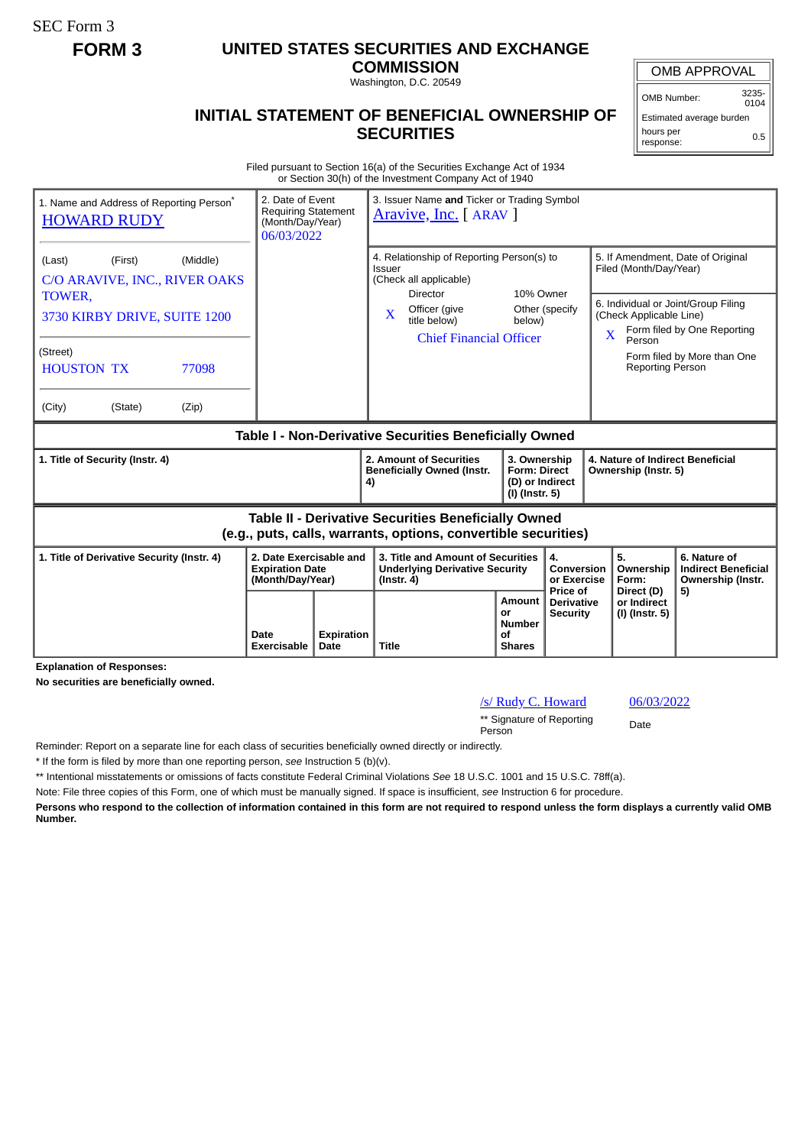SEC Form 3

# **FORM 3 UNITED STATES SECURITIES AND EXCHANGE**

**COMMISSION** Washington, D.C. 20549

### **INITIAL STATEMENT OF BENEFICIAL OWNERSHIP OF SECURITIES**

OMB APPROVAL

OMB Number: 3235-  $0104$ 

Estimated average burden hours per response: 0.5

Filed pursuant to Section 16(a) of the Securities Exchange Act of 1934 or Section 30(h) of the Investment Company Act of 1940

| 1. Name and Address of Reporting Person <sup>®</sup><br><b>HOWARD RUDY</b> | 2. Date of Event<br><b>Requiring Statement</b><br>(Month/Day/Year)<br>06/03/2022 |  | 3. Issuer Name and Ticker or Trading Symbol<br>Aravive, Inc. [ ARAV ]                                                 |                                                                          |                                             |                                                                                                                                    |                                                                       |
|----------------------------------------------------------------------------|----------------------------------------------------------------------------------|--|-----------------------------------------------------------------------------------------------------------------------|--------------------------------------------------------------------------|---------------------------------------------|------------------------------------------------------------------------------------------------------------------------------------|-----------------------------------------------------------------------|
| (First)<br>(Middle)<br>(Last)<br>C/O ARAVIVE, INC., RIVER OAKS             |                                                                                  |  | 4. Relationship of Reporting Person(s) to<br><b>Issuer</b><br>(Check all applicable)<br>10% Owner<br><b>Director</b>  |                                                                          |                                             | 5. If Amendment, Date of Original<br>Filed (Month/Day/Year)                                                                        |                                                                       |
| TOWER,<br>3730 KIRBY DRIVE, SUITE 1200                                     |                                                                                  |  | Officer (give<br>$\mathbf{x}$<br>title below)<br><b>Chief Financial Officer</b>                                       | Other (specify<br>below)                                                 |                                             | 6. Individual or Joint/Group Filing<br>(Check Applicable Line)<br>Form filed by One Reporting<br>$\overline{\mathbf{X}}$<br>Person |                                                                       |
| (Street)<br><b>HOUSTON TX</b><br>77098                                     |                                                                                  |  |                                                                                                                       |                                                                          |                                             | Reporting Person                                                                                                                   | Form filed by More than One                                           |
| (City)<br>(State)<br>(Zip)                                                 |                                                                                  |  |                                                                                                                       |                                                                          |                                             |                                                                                                                                    |                                                                       |
| Table I - Non-Derivative Securities Beneficially Owned                     |                                                                                  |  |                                                                                                                       |                                                                          |                                             |                                                                                                                                    |                                                                       |
|                                                                            |                                                                                  |  |                                                                                                                       |                                                                          |                                             |                                                                                                                                    |                                                                       |
| 1. Title of Security (Instr. 4)                                            |                                                                                  |  | 2. Amount of Securities<br><b>Beneficially Owned (Instr.</b><br>4)                                                    | 3. Ownership<br><b>Form: Direct</b><br>(D) or Indirect<br>(I) (Instr. 5) |                                             | 4. Nature of Indirect Beneficial<br>Ownership (Instr. 5)                                                                           |                                                                       |
|                                                                            |                                                                                  |  | Table II - Derivative Securities Beneficially Owned<br>(e.g., puts, calls, warrants, options, convertible securities) |                                                                          |                                             |                                                                                                                                    |                                                                       |
| 1. Title of Derivative Security (Instr. 4)                                 | 2. Date Exercisable and<br><b>Expiration Date</b><br>(Month/Day/Year)            |  | 3. Title and Amount of Securities<br><b>Underlying Derivative Security</b><br>$($ lnstr. 4 $)$                        |                                                                          | 4.<br>Conversion<br>or Exercise<br>Price of | 5.<br>Ownership<br>Form:<br>Direct (D)                                                                                             | 6. Nature of<br><b>Indirect Beneficial</b><br>Ownership (Instr.<br>5) |

**Explanation of Responses:**

**No securities are beneficially owned.**

## /s/ Rudy C. Howard 06/03/2022

\*\* Signature of Reporting Person Date

Reminder: Report on a separate line for each class of securities beneficially owned directly or indirectly.

\* If the form is filed by more than one reporting person, *see* Instruction 5 (b)(v).

\*\* Intentional misstatements or omissions of facts constitute Federal Criminal Violations *See* 18 U.S.C. 1001 and 15 U.S.C. 78ff(a).

Note: File three copies of this Form, one of which must be manually signed. If space is insufficient, *see* Instruction 6 for procedure.

**Persons who respond to the collection of information contained in this form are not required to respond unless the form displays a currently valid OMB Number.**